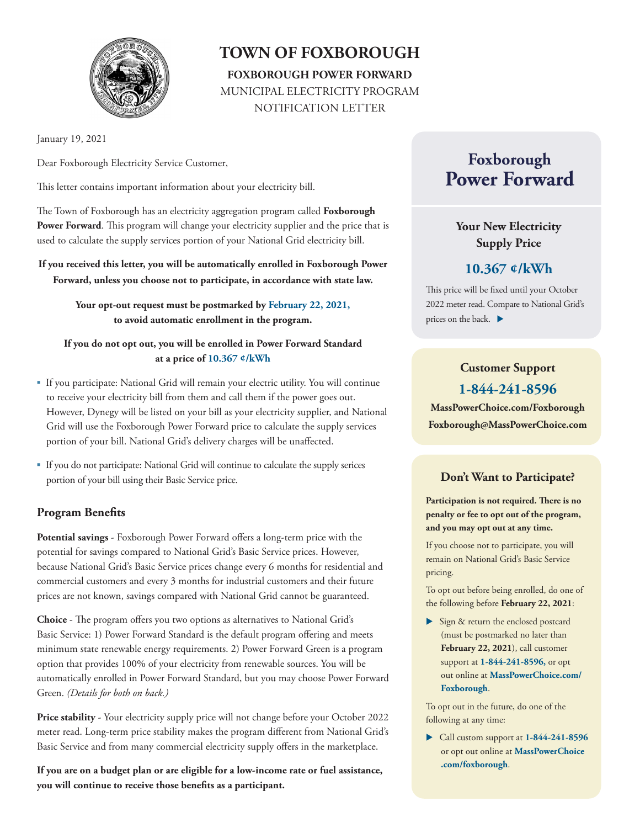

## **TOWN OF FOXBOROUGH FOXBOROUGH POWER FORWARD** MUNICIPAL ELECTRICITY PROGRAM NOTIFICATION LETTER

January 19, 2021

Dear Foxborough Electricity Service Customer,

This letter contains important information about your electricity bill.

The Town of Foxborough has an electricity aggregation program called **Foxborough Power Forward**. This program will change your electricity supplier and the price that is used to calculate the supply services portion of your National Grid electricity bill.

**If you received this letter, you will be automatically enrolled in Foxborough Power Forward, unless you choose not to participate, in accordance with state law.** 

> **Your opt-out request must be postmarked by February 22, 2021, to avoid automatic enrollment in the program.**

**If you do not opt out, you will be enrolled in Power Forward Standard at a price of 10.367 ¢/kWh**

- If you participate: National Grid will remain your electric utility. You will continue to receive your electricity bill from them and call them if the power goes out. However, Dynegy will be listed on your bill as your electricity supplier, and National Grid will use the Foxborough Power Forward price to calculate the supply services portion of your bill. National Grid's delivery charges will be unaffected.
- If you do not participate: National Grid will continue to calculate the supply serices portion of your bill using their Basic Service price.

### **Program Benefits**

**Potential savings** - Foxborough Power Forward offers a long-term price with the potential for savings compared to National Grid's Basic Service prices. However, because National Grid's Basic Service prices change every 6 months for residential and commercial customers and every 3 months for industrial customers and their future prices are not known, savings compared with National Grid cannot be guaranteed.

**Choice** - The program offers you two options as alternatives to National Grid's Basic Service: 1) Power Forward Standard is the default program offering and meets minimum state renewable energy requirements. 2) Power Forward Green is a program option that provides 100% of your electricity from renewable sources. You will be automatically enrolled in Power Forward Standard, but you may choose Power Forward Green. *(Details for both on back.)*

**Price stability** - Your electricity supply price will not change before your October 2022 meter read. Long-term price stability makes the program different from National Grid's Basic Service and from many commercial electricity supply offers in the marketplace.

**If you are on a budget plan or are eligible for a low-income rate or fuel assistance, you will continue to receive those benefits as a participant.** 

# **Foxborough Power Forward**

## **Your New Electricity Supply Price**

## **10.367 ¢/kWh**

This price will be fixed until your October 2022 meter read. Compare to National Grid's prices on the back.

## **Customer Support 1-844-241-8596**

**MassPowerChoice.com/Foxborough Foxborough@MassPowerChoice.com** 

### **Don't Want to Participate?**

**Participation is not required. There is no penalty or fee to opt out of the program, and you may opt out at any time.**

If you choose not to participate, you will remain on National Grid's Basic Service pricing.

To opt out before being enrolled, do one of the following before **February 22, 2021**:

Sign & return the enclosed postcard (must be postmarked no later than **February 22, 2021**), call customer support at **1-844-241-8596,** or opt out online at **MassPowerChoice.com/ Foxborough**.

To opt out in the future, do one of the following at any time:

 Call custom support at **1-844-241-8596** or opt out online at **MassPowerChoice .com/foxborough**.